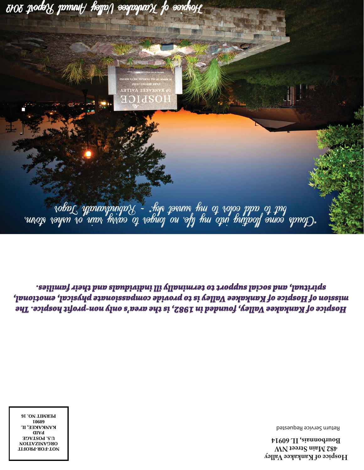**Hospice of Kankakee Valley 482 Main Street NW Bourbonnais, IL 60914**

Return Service Requested

**NOT-FOR-PROFIT ORGVAIXVLION U.S. POSTAGE PAID KANKAKEE, IL 60901 PERMIT NO. 16** 

Hospice of Kankak Valley, founded in 1982, is the area's only non-profit hospice. The puoitoms (hoiseim of Kanhak Valley is to provide compassionais physical, emotional, səilimn} aiəht bın slaubiyini Ili vilanimast ot troqque lana, husiriqs.

**TAKVKEE AVITEA HOT**  $\sigma$  roba $\mathcal{L}$  ,  $\mathcal{L}$  and  $\sigma$  or  $\mathcal{L}$  is the sunset sky.  $\sim$   $\mathcal{L}$  when  $\sigma$  and  $\sigma$  and  $\sigma$   $\sigma$   $\mathcal{L}$  and  $\sigma$ ruwop voyen vo unn hivro op vobuoj ou ofg hui opn buypojf ouios epnop),

 $2706$   $\mu$ oda $\chi$   $p$ mnu $\mu$  ha $p$ a $\rho$  aaspapna $\chi$  fo eoideo $\mu$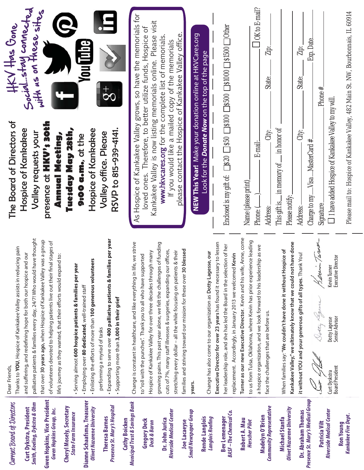| Current Board of Directors                                             | Thanks to YOU, Hospice of Kankakee Valley assists in reducing pain<br>Dear Friends,                                                                                                                                    | $\frac{1}{2}$ $\frac{1}{2}$ $\frac{1}{2}$ $\frac{1}{2}$ $\frac{1}{2}$ $\frac{1}{2}$ $\frac{1}{2}$ $\frac{1}{2}$ $\frac{1}{2}$ $\frac{1}{2}$ $\frac{1}{2}$ $\frac{1}{2}$ $\frac{1}{2}$ $\frac{1}{2}$ $\frac{1}{2}$ $\frac{1}{2}$ $\frac{1}{2}$ $\frac{1}{2}$ $\frac{1}{2}$ $\frac{1}{2}$ $\frac{1}{2}$ $\frac{1}{2}$<br>The Board of Directors of |
|------------------------------------------------------------------------|------------------------------------------------------------------------------------------------------------------------------------------------------------------------------------------------------------------------|--------------------------------------------------------------------------------------------------------------------------------------------------------------------------------------------------------------------------------------------------------------------------------------------------------------------------------------------------|
| Smith, Koeling, Dykstra & Ohm<br>Curt Dykstra, President               | palliative patients & families every day, 24/7! Who would have thought<br>and suffering, and redefining hope for both our hospice and our                                                                              | Social stay connected<br>Soon as on these sites<br>Hospice of Kankakee<br>Valley requests your                                                                                                                                                                                                                                                   |
| <b>Gwen Hopkins, Vice President</b><br><b>Gwen Hopkins Group, Inc.</b> | that over 30 years ago, when Hospice of Kankakee Valley was a group<br>of volunteers devoted to helping patients live out their final stages of<br>life's journey as they wanted, that their efforts would expand to:  | presence at HKV's soth<br>Annual Meeting,                                                                                                                                                                                                                                                                                                        |
| Cheryl Mosely, Secretary<br><b>State Farm Insurance</b>                | Serving almost 600 hospice patients & families per year                                                                                                                                                                | Tuesday May 28th,<br>9:00 a.m., at the                                                                                                                                                                                                                                                                                                           |
| Dianne Schaafsma, Treasurer<br><b>Olivet Nazarene University</b>       | - Enlisting the efforts of more than 100 generous volunteers<br>- Employing over 80 dedicated, well-trained staff                                                                                                      | You i po<br>Hospice of Kankakee                                                                                                                                                                                                                                                                                                                  |
| Presence St. Mary's Hospital<br><b>Theresa Barnes</b>                  | - Expanding to serve over 400 palliative patients & families per year<br>Supporting more than 3,000 in their grief<br>performing a myriad of tasks                                                                     | $\frac{1}{8}$<br>RSVP to 815-939-4141.<br>Valley office. Please                                                                                                                                                                                                                                                                                  |
| <b>Municipal Trust &amp; Savings Bank</b><br><b>Cathy Boicken</b>      | Change is constant in healthcare, and like everything in life, we strive                                                                                                                                               | As Hospice of Kankakee Valley grows, so have the memorials for                                                                                                                                                                                                                                                                                   |
| <b>Gregory Deck</b><br><b>Deck &amp; Baron</b>                         | Hospice of Kankakee Valley for over three decades through many<br>to "roll with the punches". Thank you to all who have supported                                                                                      | Kankakee Valley is now listing memorials online. Please visit<br>loved ones. Therefore, to better utilize funds, Hospice of                                                                                                                                                                                                                      |
| Riverside Medical Center<br>Dr. John Jurica                            | growing pains. This past year alone, we felt the challenges of funding<br>cuts of 7%, many staff illnesses & surgeries, expanding our offices,<br>stretching every dollar - all the while focusing on patients & their | www.hkvcares.org for the complete list of memorials<br>If you would like a mailed copy of the memorials                                                                                                                                                                                                                                          |
| <b>Small Newspaper Group</b><br><b>Joe Lacaeyse</b>                    | families and striving toward our mission for these over 30 blessed<br>years.                                                                                                                                           | please contact the Hospice of Kankakee Valley office<br>NEW This Year! Make your donation online at HKVCares.org                                                                                                                                                                                                                                 |
| <b>Rende Langlois</b><br>Langlois Roofing                              | Change has also come to our organization as Dotty Lagesse, our                                                                                                                                                         | Look for the <b>Donate Now</b> on the top of the page                                                                                                                                                                                                                                                                                            |
| BASF-The Chemical Co.<br><b>Bev Lemenager</b>                          | Executive Director for over 23 years has found it necessary to lessen<br>her leadership role, and she has led the Board in the selection of her<br>replacement. Accordingly, in January 2013 we welcomed Kevin         | Enclosed is my gift of: $\Box$ 820 $\Box$ 830 $\Box$ 8300 $\Box$ 81000 $\Box$ 81500 $\Box$ Other                                                                                                                                                                                                                                                 |
| Robert A. Mau<br>Herscher Pilot                                        | Turner as our new Executive Director. Kevin and his wife, Anne, come<br>to us from Tulsa, Oklahoma, where Kevin has prior experience leading                                                                           | Name (please print)                                                                                                                                                                                                                                                                                                                              |
| <b>Community Representative</b><br>Madelyn O'Brien                     | a hospice organization, and we look forward to his leadership as we<br>face the challenges that are before us.                                                                                                         | $\sqrt{\frac{1}{2}$ OK to E-mail?<br>Zip:<br>State:<br>City:<br>E-mail:<br>Address:<br>Phone: (                                                                                                                                                                                                                                                  |
| <b>Olivet Nazarene University</b><br>Michael Stanfa                    | Kankakee Valley," we ultimately know that we could not have done<br>When families say: "We couldn't have done it without Hospice of                                                                                    | This gift is $\_\,$ in memory of $\_\,$ in honor of<br>Please notify:                                                                                                                                                                                                                                                                            |
| Presence St. Mary's Medical Group<br>Dr. Abraham Thomas                | it without YOU and your generous gifts of all types. Thank You!                                                                                                                                                        | Exp. Date<br>Zip:<br>State:<br>City:<br>Charge to my $\_\$ Visa $\_\$ MasterCard #<br>Address:                                                                                                                                                                                                                                                   |
| Riverside Medical Center<br>Patricia Vilt                              | Lerin Tarror<br>Kevin Turner<br>Ootty Leg<br>Dotty Lagesse<br>Curt Dyskstra<br>ر<br>سمجھا<br>سمجھا                                                                                                                     | Phone #<br>$\Box$ I have added Hospice of Kankakee Valley to my will.<br>Signature.                                                                                                                                                                                                                                                              |
| Kankakee Fire Dept.<br><b>Ron Young</b>                                | Executive Director<br>Senior Advisor<br><b>Board President</b>                                                                                                                                                         | Please mail to: Hospice of Kankakee Valley, 482 Main St. NW, Bourbonnais, IL 60914                                                                                                                                                                                                                                                               |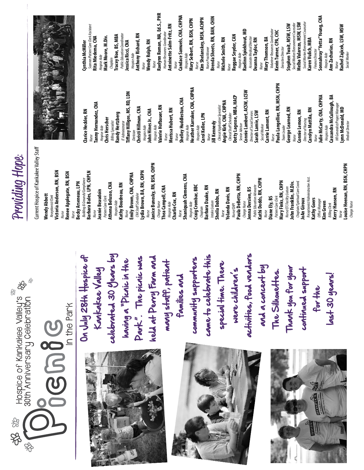

**Kerry Hansen, RN** Nurse

**Ann Zacharias, RN**

**Cassandra McCullough, BA** HR Generalist/Project Manager **Lynn McDonald, MD** Medical Director

HR Generalist/Project Manager<br>**Lynn McDonald, MD** 

**Medical Director** 

Nurse

**Rachel Zajicek, LSW, MSW**

lachel Zajicek, LSW, MSW

Social Worker

Social Worker

**Louise Heenan, RN, BSN, CHPN**

Charge Nurse